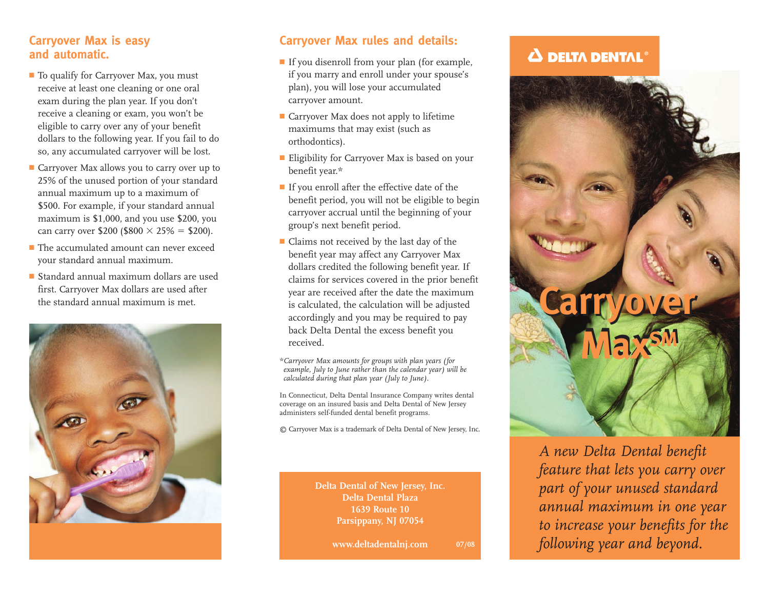#### **Carryover Max is easy and automatic.**

- To qualify for Carryover Max, you must receive at least one cleaning or one oral exam during the plan year. If you don't receive a cleaning or exam, you won't be eligible to carry over any of your benefit dollars to the following year. If you fail to do so, any accumulated carryover will be lost.
- Carryover Max allows you to carry over up to 25% of the unused portion of your standard annual maximum up to a maximum of \$500. For example, if your standard annual maximum is \$1,000, and you use \$200, you can carry over \$200 (\$800  $\times$  25% = \$200).
- **■** The accumulated amount can never exceed your standard annual maximum.
- **■** Standard annual maximum dollars are used first. Carryover Max dollars are used after



#### **Carryover Max rules and details:**

- **■** If you disenroll from your plan (for example, if you marry and enroll under your spouse's plan), you will lose your accumulated carryover amount.
- Carryover Max does not apply to lifetime maximums that may exist (such as orthodontics).
- **■** Eligibility for Carryover Max is based on your benefit year.\*
- **■** If you enroll after the effective date of the benefit period, you will not be eligible to begin carryover accrual until the beginning of your group's next benefit period.
- Claims not received by the last day of the benefit year may affect any Carryover Max dollars credited the following benefit year. If claims for services covered in the prior benefit year are received after the date the maximum is calculated, the calculation will be adjusted accordingly and you may be required to pay back Delta Dental the excess benefit you received. Standard annual maximum dollars are used<br>
first. Carryover Max dollars are used after<br>
the standard annual maximum is met. is calculated, the calculation will be adjusted<br>
is calculated, the calculation will be adjusted

*\*Carryover Max amounts for groups with plan years (for example, July to June rather than the calendar year) will be calculated during that plan year (July to June).*

In Connecticut, Delta Dental Insurance Company writes dental coverage on an insured basis and Delta Dental of New Jersey administers self-funded dental benefit programs.

© Carryover Max is a trademark of Delta Dental of New Jersey, Inc.

**Delta Dental of New Jersey, Inc. Delta Dental Plaza 1639 Route 10 Parsippany, NJ 07054**

> **www.deltadentalnj.com 07/08**

# $\Delta$  delta dental®



*A new Delta Dental benefit feature that lets you carry over part of your unused standard annual maximum in one year to increase your benefits for the following year and beyond.*